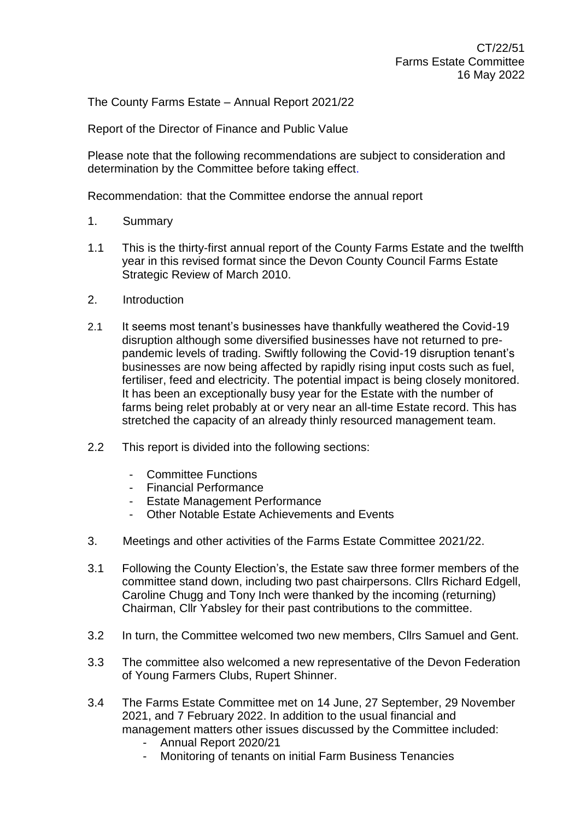The County Farms Estate – Annual Report 2021/22

Report of the Director of Finance and Public Value

Please note that the following recommendations are subject to consideration and determination by the Committee before taking effect.

Recommendation: that the Committee endorse the annual report

- 1. Summary
- 1.1 This is the thirty-first annual report of the County Farms Estate and the twelfth year in this revised format since the Devon County Council Farms Estate Strategic Review of March 2010.
- 2. Introduction
- 2.1 It seems most tenant's businesses have thankfully weathered the Covid-19 disruption although some diversified businesses have not returned to prepandemic levels of trading. Swiftly following the Covid-19 disruption tenant's businesses are now being affected by rapidly rising input costs such as fuel, fertiliser, feed and electricity. The potential impact is being closely monitored. It has been an exceptionally busy year for the Estate with the number of farms being relet probably at or very near an all-time Estate record. This has stretched the capacity of an already thinly resourced management team.
- 2.2 This report is divided into the following sections:
	- Committee Functions
	- Financial Performance
	- Estate Management Performance
	- Other Notable Estate Achievements and Events
- 3. Meetings and other activities of the Farms Estate Committee 2021/22.
- 3.1 Following the County Election's, the Estate saw three former members of the committee stand down, including two past chairpersons. Cllrs Richard Edgell, Caroline Chugg and Tony Inch were thanked by the incoming (returning) Chairman, Cllr Yabsley for their past contributions to the committee.
- 3.2 In turn, the Committee welcomed two new members, Cllrs Samuel and Gent.
- 3.3 The committee also welcomed a new representative of the Devon Federation of Young Farmers Clubs, Rupert Shinner.
- 3.4 The Farms Estate Committee met on 14 June, 27 September, 29 November 2021, and 7 February 2022. In addition to the usual financial and management matters other issues discussed by the Committee included:
	- Annual Report 2020/21
	- Monitoring of tenants on initial Farm Business Tenancies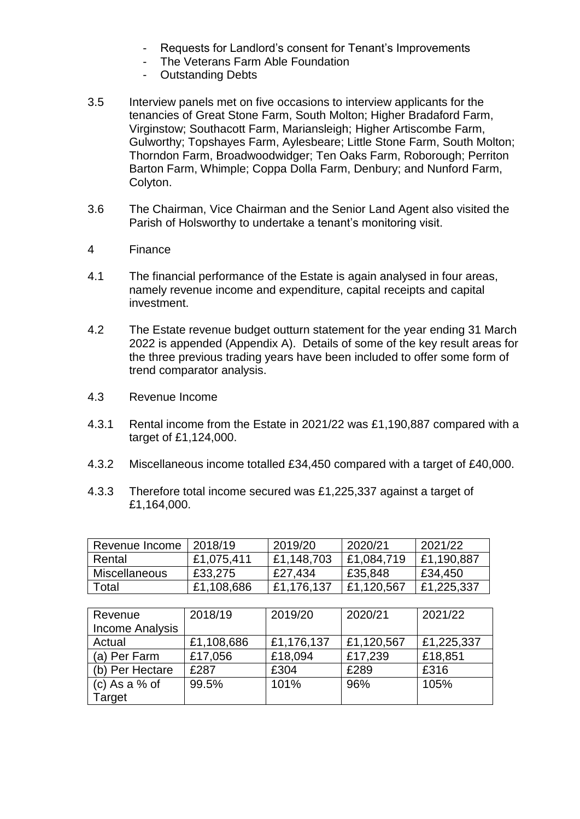- Requests for Landlord's consent for Tenant's Improvements
- The Veterans Farm Able Foundation
- Outstanding Debts
- 3.5 Interview panels met on five occasions to interview applicants for the tenancies of Great Stone Farm, South Molton; Higher Bradaford Farm, Virginstow; Southacott Farm, Mariansleigh; Higher Artiscombe Farm, Gulworthy; Topshayes Farm, Aylesbeare; Little Stone Farm, South Molton; Thorndon Farm, Broadwoodwidger; Ten Oaks Farm, Roborough; Perriton Barton Farm, Whimple; Coppa Dolla Farm, Denbury; and Nunford Farm, Colyton.
- 3.6 The Chairman, Vice Chairman and the Senior Land Agent also visited the Parish of Holsworthy to undertake a tenant's monitoring visit.
- 4 Finance
- 4.1 The financial performance of the Estate is again analysed in four areas, namely revenue income and expenditure, capital receipts and capital investment.
- 4.2 The Estate revenue budget outturn statement for the year ending 31 March 2022 is appended (Appendix A). Details of some of the key result areas for the three previous trading years have been included to offer some form of trend comparator analysis.
- 4.3 Revenue Income
- 4.3.1 Rental income from the Estate in 2021/22 was £1,190,887 compared with a target of £1,124,000.
- 4.3.2 Miscellaneous income totalled £34,450 compared with a target of £40,000.
- 4.3.3 Therefore total income secured was £1,225,337 against a target of £1,164,000.

| Revenue Income | 2018/19    | 2019/20    | 2020/21    | 2021/22    |
|----------------|------------|------------|------------|------------|
| Rental         | £1,075,411 | £1,148,703 | £1,084,719 | £1,190,887 |
| Miscellaneous  | £33,275    | £27,434    | £35,848    | £34,450    |
| Total          | £1,108,686 | £1,176,137 | £1,120,567 | £1,225,337 |

| Revenue<br><b>Income Analysis</b> | 2018/19    | 2019/20    | 2020/21    | 2021/22    |
|-----------------------------------|------------|------------|------------|------------|
| Actual                            | £1,108,686 | £1,176,137 | £1,120,567 | £1,225,337 |
| (a) Per Farm                      | £17,056    | £18,094    | £17,239    | £18,851    |
| (b) Per Hectare                   | £287       | £304       | £289       | £316       |
| (c) As a $%$ of                   | 99.5%      | 101%       | 96%        | 105%       |
| <b>Target</b>                     |            |            |            |            |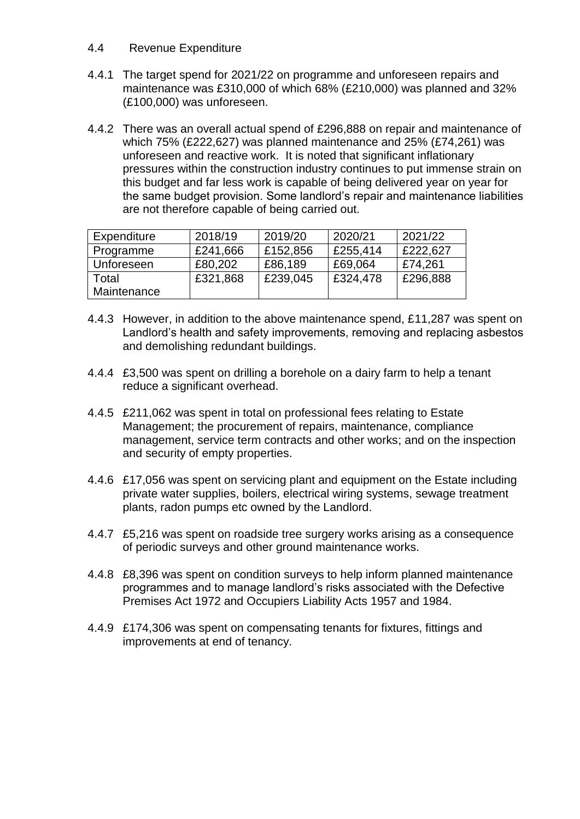#### 4.4 Revenue Expenditure

- 4.4.1 The target spend for 2021/22 on programme and unforeseen repairs and maintenance was £310,000 of which 68% (£210,000) was planned and 32% (£100,000) was unforeseen.
- 4.4.2 There was an overall actual spend of £296,888 on repair and maintenance of which 75% (£222,627) was planned maintenance and 25% (£74,261) was unforeseen and reactive work. It is noted that significant inflationary pressures within the construction industry continues to put immense strain on this budget and far less work is capable of being delivered year on year for the same budget provision. Some landlord's repair and maintenance liabilities are not therefore capable of being carried out.

| Expenditure | 2018/19  | 2019/20  | 2020/21  | 2021/22  |
|-------------|----------|----------|----------|----------|
| Programme   | £241,666 | £152,856 | £255,414 | £222.627 |
| Unforeseen  | £80,202  | £86,189  | £69,064  | £74.261  |
| Total       | £321,868 | £239,045 | £324,478 | £296,888 |
| Maintenance |          |          |          |          |

- 4.4.3 However, in addition to the above maintenance spend, £11,287 was spent on Landlord's health and safety improvements, removing and replacing asbestos and demolishing redundant buildings.
- 4.4.4 £3,500 was spent on drilling a borehole on a dairy farm to help a tenant reduce a significant overhead.
- 4.4.5 £211,062 was spent in total on professional fees relating to Estate Management; the procurement of repairs, maintenance, compliance management, service term contracts and other works; and on the inspection and security of empty properties.
- 4.4.6 £17,056 was spent on servicing plant and equipment on the Estate including private water supplies, boilers, electrical wiring systems, sewage treatment plants, radon pumps etc owned by the Landlord.
- 4.4.7 £5,216 was spent on roadside tree surgery works arising as a consequence of periodic surveys and other ground maintenance works.
- 4.4.8 £8,396 was spent on condition surveys to help inform planned maintenance programmes and to manage landlord's risks associated with the Defective Premises Act 1972 and Occupiers Liability Acts 1957 and 1984.
- 4.4.9 £174,306 was spent on compensating tenants for fixtures, fittings and improvements at end of tenancy.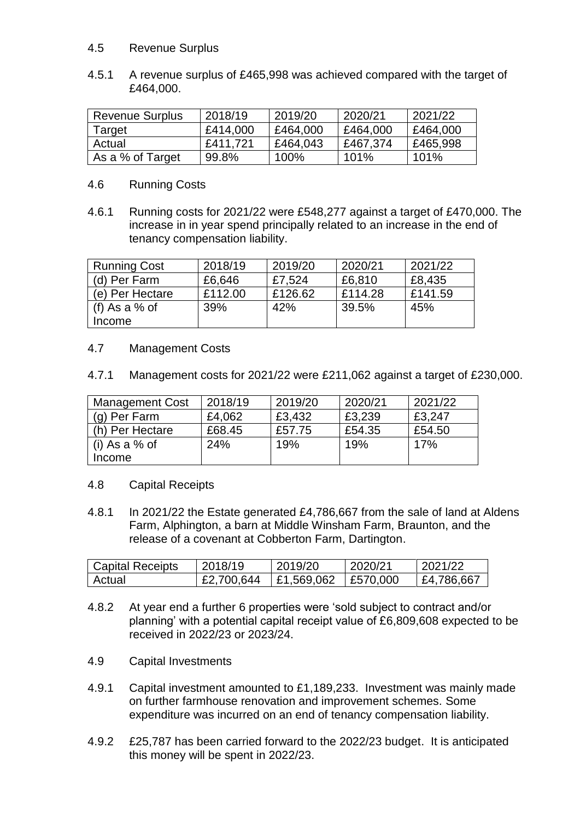## 4.5 Revenue Surplus

4.5.1 A revenue surplus of £465,998 was achieved compared with the target of £464,000.

| <b>Revenue Surplus</b> | 2018/19  | 2019/20  | 2020/21  | 2021/22  |  |
|------------------------|----------|----------|----------|----------|--|
| Target                 | £414,000 | £464,000 | £464,000 | £464,000 |  |
| Actual                 | £411.721 | £464,043 | £467,374 | £465,998 |  |
| As a % of Target       | 99.8%    | 100%     | 101%     | 101%     |  |

#### 4.6 Running Costs

4.6.1 Running costs for 2021/22 were £548,277 against a target of £470,000. The increase in in year spend principally related to an increase in the end of tenancy compensation liability.

| <b>Running Cost</b> | 2018/19 | 2019/20 | 2020/21 | 2021/22 |
|---------------------|---------|---------|---------|---------|
| (d) Per Farm        | £6,646  | £7,524  | £6,810  | £8,435  |
| (e) Per Hectare     | £112.00 | £126.62 | £114.28 | £141.59 |
| (f) As a $%$ of     | 39%     | 42%     | 39.5%   | 45%     |
| Income              |         |         |         |         |

## 4.7 Management Costs

4.7.1 Management costs for 2021/22 were £211,062 against a target of £230,000.

| <b>Management Cost</b> | 2018/19 | 2019/20 | 2020/21 | 2021/22 |
|------------------------|---------|---------|---------|---------|
| (g) Per Farm           | £4,062  | £3,432  | £3,239  | £3,247  |
| (h) Per Hectare        | £68.45  | £57.75  | £54.35  | £54.50  |
| l (i) As a % of        | 24%     | 19%     | 19%     | 17%     |
| Income                 |         |         |         |         |

## 4.8 Capital Receipts

4.8.1 In 2021/22 the Estate generated £4,786,667 from the sale of land at Aldens Farm, Alphington, a barn at Middle Winsham Farm, Braunton, and the release of a covenant at Cobberton Farm, Dartington.

| <b>Capital Receipts</b> | 2018/19    | 2019/20                       | 2020/21 | 2021/22    |
|-------------------------|------------|-------------------------------|---------|------------|
| Actual                  | £2,700,644 | $\pm 1.569.062$ $\pm 570.000$ |         | £4,786,667 |

- 4.8.2 At year end a further 6 properties were 'sold subject to contract and/or planning' with a potential capital receipt value of £6,809,608 expected to be received in 2022/23 or 2023/24.
- 4.9 Capital Investments
- 4.9.1 Capital investment amounted to £1,189,233. Investment was mainly made on further farmhouse renovation and improvement schemes. Some expenditure was incurred on an end of tenancy compensation liability.
- 4.9.2 £25,787 has been carried forward to the 2022/23 budget. It is anticipated this money will be spent in 2022/23.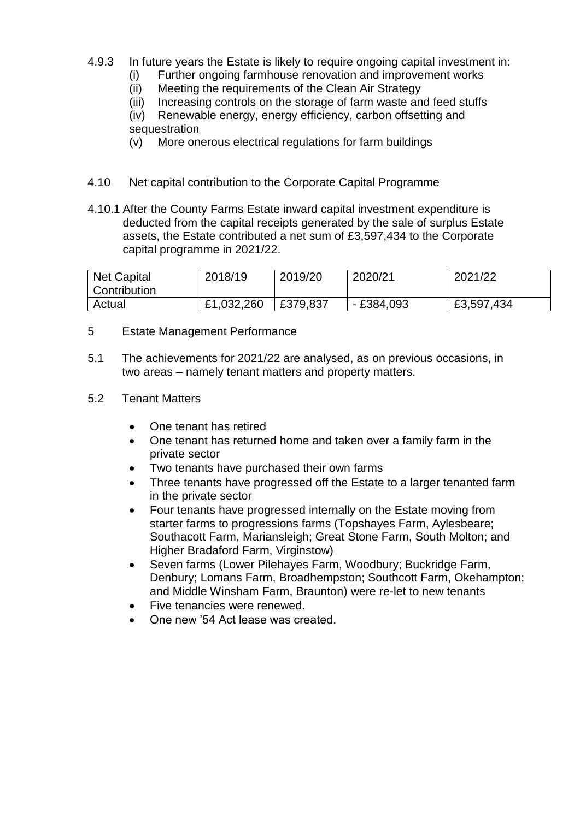- 4.9.3 In future years the Estate is likely to require ongoing capital investment in:
	- (i) Further ongoing farmhouse renovation and improvement works
	- (ii) Meeting the requirements of the Clean Air Strategy
	- (iii) Increasing controls on the storage of farm waste and feed stuffs

(iv) Renewable energy, energy efficiency, carbon offsetting and sequestration

- (v) More onerous electrical regulations for farm buildings
- 4.10 Net capital contribution to the Corporate Capital Programme
- 4.10.1 After the County Farms Estate inward capital investment expenditure is deducted from the capital receipts generated by the sale of surplus Estate assets, the Estate contributed a net sum of £3,597,434 to the Corporate capital programme in 2021/22.

| <b>Net Capital</b><br>Contribution | 2018/19    | 2019/20  | 2020/21     | 2021/22    |
|------------------------------------|------------|----------|-------------|------------|
| Actual                             | £1,032,260 | £379,837 | $-£384,093$ | £3,597,434 |

- 5 Estate Management Performance
- 5.1 The achievements for 2021/22 are analysed, as on previous occasions, in two areas – namely tenant matters and property matters.
- 5.2 Tenant Matters
	- One tenant has retired
	- One tenant has returned home and taken over a family farm in the private sector
	- Two tenants have purchased their own farms
	- Three tenants have progressed off the Estate to a larger tenanted farm in the private sector
	- Four tenants have progressed internally on the Estate moving from starter farms to progressions farms (Topshayes Farm, Aylesbeare; Southacott Farm, Mariansleigh; Great Stone Farm, South Molton; and Higher Bradaford Farm, Virginstow)
	- Seven farms (Lower Pilehayes Farm, Woodbury; Buckridge Farm, Denbury; Lomans Farm, Broadhempston; Southcott Farm, Okehampton; and Middle Winsham Farm, Braunton) were re-let to new tenants
	- Five tenancies were renewed.
	- One new '54 Act lease was created.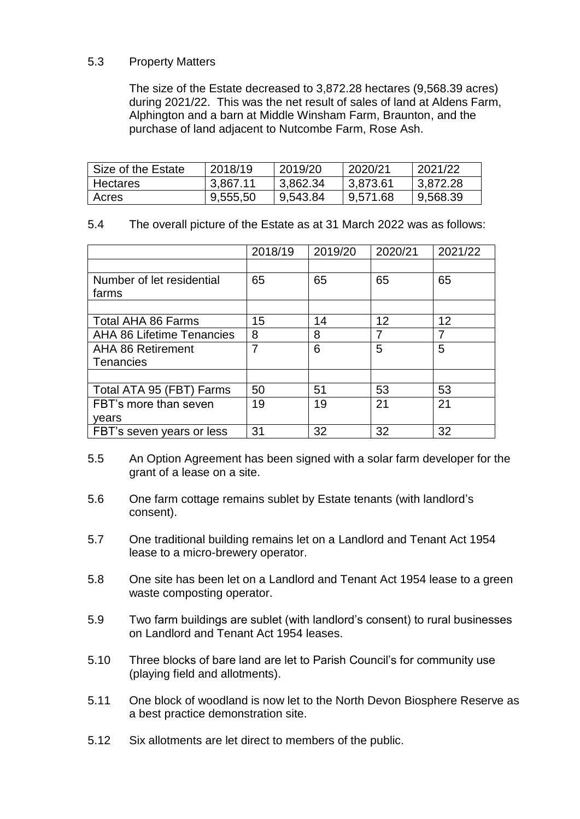# 5.3 Property Matters

The size of the Estate decreased to 3,872.28 hectares (9,568.39 acres) during 2021/22. This was the net result of sales of land at Aldens Farm, Alphington and a barn at Middle Winsham Farm, Braunton, and the purchase of land adjacent to Nutcombe Farm, Rose Ash.

| Size of the Estate | 2018/19  | 2019/20  | 2020/21  | 2021/22  |
|--------------------|----------|----------|----------|----------|
| Hectares           | 3,867.11 | 3,862.34 | 3,873.61 | 3.872.28 |
| Acres              | 9,555,50 | 9,543.84 | 9,571.68 | 9,568.39 |

5.4 The overall picture of the Estate as at 31 March 2022 was as follows:

|                                    | 2018/19 | 2019/20 | 2020/21 | 2021/22 |
|------------------------------------|---------|---------|---------|---------|
|                                    |         |         |         |         |
| Number of let residential<br>farms | 65      | 65      | 65      | 65      |
|                                    |         |         |         |         |
| Total AHA 86 Farms                 | 15      | 14      | 12      | 12      |
| <b>AHA 86 Lifetime Tenancies</b>   | 8       | 8       | 7       | 7       |
| <b>AHA 86 Retirement</b>           | 7       | 6       | 5       | 5       |
| Tenancies                          |         |         |         |         |
|                                    |         |         |         |         |
| Total ATA 95 (FBT) Farms           | 50      | 51      | 53      | 53      |
| FBT's more than seven              | 19      | 19      | 21      | 21      |
| vears                              |         |         |         |         |
| FBT's seven years or less          | 31      | 32      | 32      | 32      |

- 5.5 An Option Agreement has been signed with a solar farm developer for the grant of a lease on a site.
- 5.6 One farm cottage remains sublet by Estate tenants (with landlord's consent).
- 5.7 One traditional building remains let on a Landlord and Tenant Act 1954 lease to a micro-brewery operator.
- 5.8 One site has been let on a Landlord and Tenant Act 1954 lease to a green waste composting operator.
- 5.9 Two farm buildings are sublet (with landlord's consent) to rural businesses on Landlord and Tenant Act 1954 leases.
- 5.10 Three blocks of bare land are let to Parish Council's for community use (playing field and allotments).
- 5.11 One block of woodland is now let to the North Devon Biosphere Reserve as a best practice demonstration site.
- 5.12 Six allotments are let direct to members of the public.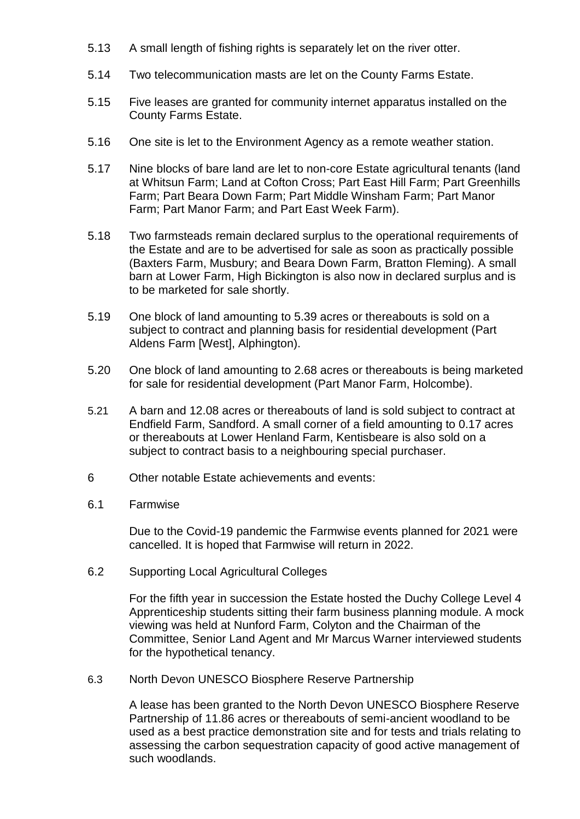- 5.13 A small length of fishing rights is separately let on the river otter.
- 5.14 Two telecommunication masts are let on the County Farms Estate.
- 5.15 Five leases are granted for community internet apparatus installed on the County Farms Estate.
- 5.16 One site is let to the Environment Agency as a remote weather station.
- 5.17 Nine blocks of bare land are let to non-core Estate agricultural tenants (land at Whitsun Farm; Land at Cofton Cross; Part East Hill Farm; Part Greenhills Farm; Part Beara Down Farm; Part Middle Winsham Farm; Part Manor Farm; Part Manor Farm; and Part East Week Farm).
- 5.18 Two farmsteads remain declared surplus to the operational requirements of the Estate and are to be advertised for sale as soon as practically possible (Baxters Farm, Musbury; and Beara Down Farm, Bratton Fleming). A small barn at Lower Farm, High Bickington is also now in declared surplus and is to be marketed for sale shortly.
- 5.19 One block of land amounting to 5.39 acres or thereabouts is sold on a subject to contract and planning basis for residential development (Part Aldens Farm [West], Alphington).
- 5.20 One block of land amounting to 2.68 acres or thereabouts is being marketed for sale for residential development (Part Manor Farm, Holcombe).
- 5.21 A barn and 12.08 acres or thereabouts of land is sold subject to contract at Endfield Farm, Sandford. A small corner of a field amounting to 0.17 acres or thereabouts at Lower Henland Farm, Kentisbeare is also sold on a subject to contract basis to a neighbouring special purchaser.
- 6 Other notable Estate achievements and events:
- 6.1 Farmwise

Due to the Covid-19 pandemic the Farmwise events planned for 2021 were cancelled. It is hoped that Farmwise will return in 2022.

6.2 Supporting Local Agricultural Colleges

For the fifth year in succession the Estate hosted the Duchy College Level 4 Apprenticeship students sitting their farm business planning module. A mock viewing was held at Nunford Farm, Colyton and the Chairman of the Committee, Senior Land Agent and Mr Marcus Warner interviewed students for the hypothetical tenancy.

6.3 North Devon UNESCO Biosphere Reserve Partnership

A lease has been granted to the North Devon UNESCO Biosphere Reserve Partnership of 11.86 acres or thereabouts of semi-ancient woodland to be used as a best practice demonstration site and for tests and trials relating to assessing the carbon sequestration capacity of good active management of such woodlands.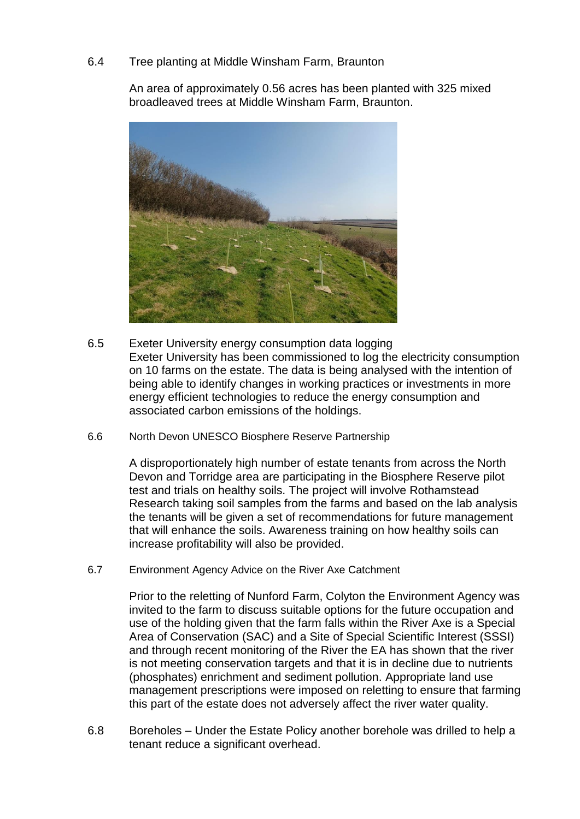## 6.4 Tree planting at Middle Winsham Farm, Braunton

An area of approximately 0.56 acres has been planted with 325 mixed broadleaved trees at Middle Winsham Farm, Braunton.



- 6.5 Exeter University energy consumption data logging Exeter University has been commissioned to log the electricity consumption on 10 farms on the estate. The data is being analysed with the intention of being able to identify changes in working practices or investments in more energy efficient technologies to reduce the energy consumption and associated carbon emissions of the holdings.
- 6.6 North Devon UNESCO Biosphere Reserve Partnership

A disproportionately high number of estate tenants from across the North Devon and Torridge area are participating in the Biosphere Reserve pilot test and trials on healthy soils. The project will involve Rothamstead Research taking soil samples from the farms and based on the lab analysis the tenants will be given a set of recommendations for future management that will enhance the soils. Awareness training on how healthy soils can increase profitability will also be provided.

6.7 Environment Agency Advice on the River Axe Catchment

Prior to the reletting of Nunford Farm, Colyton the Environment Agency was invited to the farm to discuss suitable options for the future occupation and use of the holding given that the farm falls within the River Axe is a Special Area of Conservation (SAC) and a Site of Special Scientific Interest (SSSI) and through recent monitoring of the River the EA has shown that the river is not meeting conservation targets and that it is in decline due to nutrients (phosphates) enrichment and sediment pollution. Appropriate land use management prescriptions were imposed on reletting to ensure that farming this part of the estate does not adversely affect the river water quality.

6.8 Boreholes – Under the Estate Policy another borehole was drilled to help a tenant reduce a significant overhead.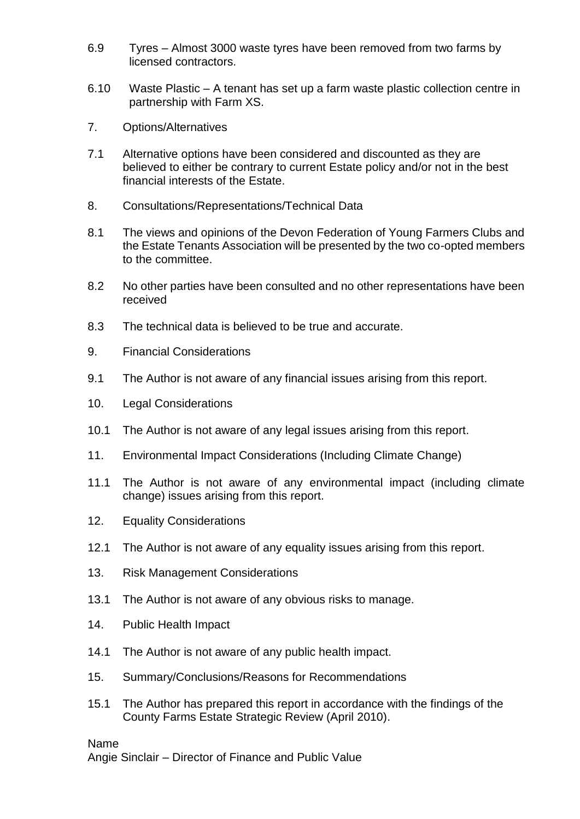- 6.9 Tyres Almost 3000 waste tyres have been removed from two farms by licensed contractors.
- 6.10 Waste Plastic A tenant has set up a farm waste plastic collection centre in partnership with Farm XS.
- 7. Options/Alternatives
- 7.1 Alternative options have been considered and discounted as they are believed to either be contrary to current Estate policy and/or not in the best financial interests of the Estate.
- 8. Consultations/Representations/Technical Data
- 8.1 The views and opinions of the Devon Federation of Young Farmers Clubs and the Estate Tenants Association will be presented by the two co-opted members to the committee.
- 8.2 No other parties have been consulted and no other representations have been received
- 8.3 The technical data is believed to be true and accurate.
- 9. Financial Considerations
- 9.1 The Author is not aware of any financial issues arising from this report.
- 10. Legal Considerations
- 10.1 The Author is not aware of any legal issues arising from this report.
- 11. Environmental Impact Considerations (Including Climate Change)
- 11.1 The Author is not aware of any environmental impact (including climate change) issues arising from this report.
- 12. Equality Considerations
- 12.1 The Author is not aware of any equality issues arising from this report.
- 13. Risk Management Considerations
- 13.1 The Author is not aware of any obvious risks to manage.
- 14. Public Health Impact
- 14.1 The Author is not aware of any public health impact.
- 15. Summary/Conclusions/Reasons for Recommendations
- 15.1 The Author has prepared this report in accordance with the findings of the County Farms Estate Strategic Review (April 2010).

Name

Angie Sinclair – Director of Finance and Public Value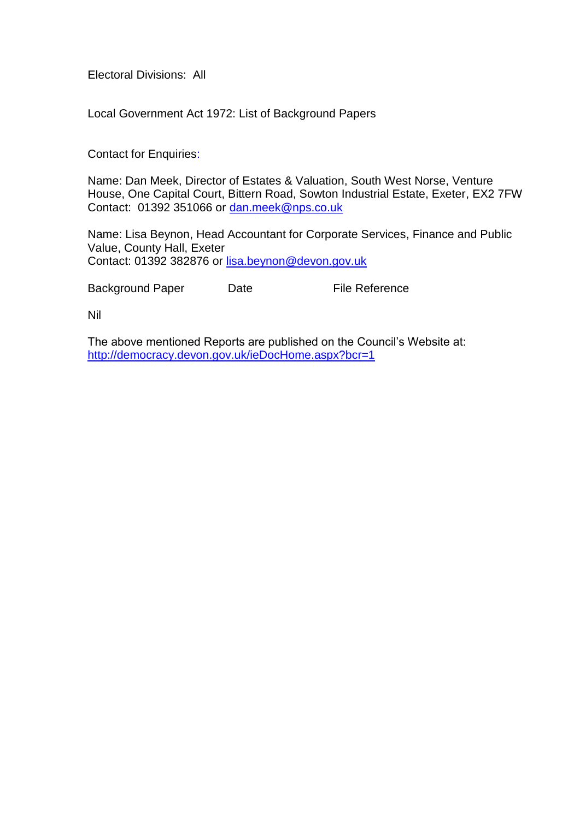Electoral Divisions: All

Local Government Act 1972: List of Background Papers

Contact for Enquiries:

Name: Dan Meek, Director of Estates & Valuation, South West Norse, Venture House, One Capital Court, Bittern Road, Sowton Industrial Estate, Exeter, EX2 7FW Contact: 01392 351066 or [dan.meek@nps.co.uk](mailto:dan.meek@nps.co.uk)

Name: Lisa Beynon, Head Accountant for Corporate Services, Finance and Public Value, County Hall, Exeter Contact: 01392 382876 or [lisa.beynon@devon.gov.uk](mailto:lisa.beynon@devon.gov.uk)

Background Paper Date File Reference

Nil

The above mentioned Reports are published on the Council's Website at: <http://democracy.devon.gov.uk/ieDocHome.aspx?bcr=1>